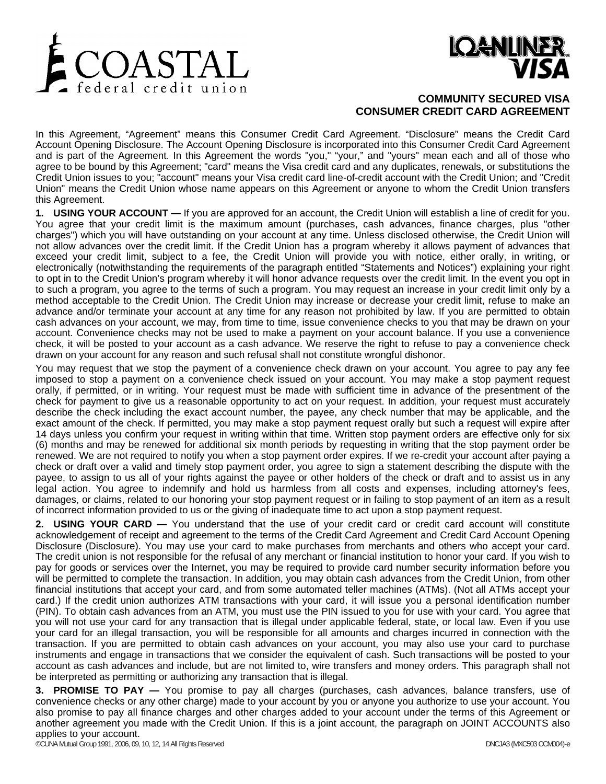



# **COMMUNITY SECURED VISA CONSUMER CREDIT CARD AGREEMENT**

In this Agreement, "Agreement" means this Consumer Credit Card Agreement. "Disclosure" means the Credit Card Account Opening Disclosure. The Account Opening Disclosure is incorporated into this Consumer Credit Card Agreement and is part of the Agreement. In this Agreement the words "you," "your," and "yours" mean each and all of those who agree to be bound by this Agreement; "card" means the Visa credit card and any duplicates, renewals, or substitutions the Credit Union issues to you; "account" means your Visa credit card line-of-credit account with the Credit Union; and "Credit Union" means the Credit Union whose name appears on this Agreement or anyone to whom the Credit Union transfers this Agreement.

**1. USING YOUR ACCOUNT —** If you are approved for an account, the Credit Union will establish a line of credit for you. You agree that your credit limit is the maximum amount (purchases, cash advances, finance charges, plus "other charges") which you will have outstanding on your account at any time. Unless disclosed otherwise, the Credit Union will not allow advances over the credit limit. If the Credit Union has a program whereby it allows payment of advances that exceed your credit limit, subject to a fee, the Credit Union will provide you with notice, either orally, in writing, or electronically (notwithstanding the requirements of the paragraph entitled "Statements and Notices") explaining your right to opt in to the Credit Union's program whereby it will honor advance requests over the credit limit. In the event you opt in to such a program, you agree to the terms of such a program. You may request an increase in your credit limit only by a method acceptable to the Credit Union. The Credit Union may increase or decrease your credit limit, refuse to make an advance and/or terminate your account at any time for any reason not prohibited by law. If you are permitted to obtain cash advances on your account, we may, from time to time, issue convenience checks to you that may be drawn on your account. Convenience checks may not be used to make a payment on your account balance. If you use a convenience check, it will be posted to your account as a cash advance. We reserve the right to refuse to pay a convenience check drawn on your account for any reason and such refusal shall not constitute wrongful dishonor.

You may request that we stop the payment of a convenience check drawn on your account. You agree to pay any fee imposed to stop a payment on a convenience check issued on your account. You may make a stop payment request orally, if permitted, or in writing. Your request must be made with sufficient time in advance of the presentment of the check for payment to give us a reasonable opportunity to act on your request. In addition, your request must accurately describe the check including the exact account number, the payee, any check number that may be applicable, and the exact amount of the check. If permitted, you may make a stop payment request orally but such a request will expire after 14 days unless you confirm your request in writing within that time. Written stop payment orders are effective only for six (6) months and may be renewed for additional six month periods by requesting in writing that the stop payment order be renewed. We are not required to notify you when a stop payment order expires. If we re-credit your account after paying a check or draft over a valid and timely stop payment order, you agree to sign a statement describing the dispute with the payee, to assign to us all of your rights against the payee or other holders of the check or draft and to assist us in any legal action. You agree to indemnify and hold us harmless from all costs and expenses, including attorney's fees, damages, or claims, related to our honoring your stop payment request or in failing to stop payment of an item as a result of incorrect information provided to us or the giving of inadequate time to act upon a stop payment request.

**2. USING YOUR CARD —** You understand that the use of your credit card or credit card account will constitute acknowledgement of receipt and agreement to the terms of the Credit Card Agreement and Credit Card Account Opening Disclosure (Disclosure). You may use your card to make purchases from merchants and others who accept your card. The credit union is not responsible for the refusal of any merchant or financial institution to honor your card. If you wish to pay for goods or services over the Internet, you may be required to provide card number security information before you will be permitted to complete the transaction. In addition, you may obtain cash advances from the Credit Union, from other financial institutions that accept your card, and from some automated teller machines (ATMs). (Not all ATMs accept your card.) If the credit union authorizes ATM transactions with your card, it will issue you a personal identification number (PIN). To obtain cash advances from an ATM, you must use the PIN issued to you for use with your card. You agree that you will not use your card for any transaction that is illegal under applicable federal, state, or local law. Even if you use your card for an illegal transaction, you will be responsible for all amounts and charges incurred in connection with the transaction. If you are permitted to obtain cash advances on your account, you may also use your card to purchase instruments and engage in transactions that we consider the equivalent of cash. Such transactions will be posted to your account as cash advances and include, but are not limited to, wire transfers and money orders. This paragraph shall not be interpreted as permitting or authorizing any transaction that is illegal.

**3. PROMISE TO PAY —** You promise to pay all charges (purchases, cash advances, balance transfers, use of convenience checks or any other charge) made to your account by you or anyone you authorize to use your account. You also promise to pay all finance charges and other charges added to your account under the terms of this Agreement or another agreement you made with the Credit Union. If this is a joint account, the paragraph on JOINT ACCOUNTS also applies to your account.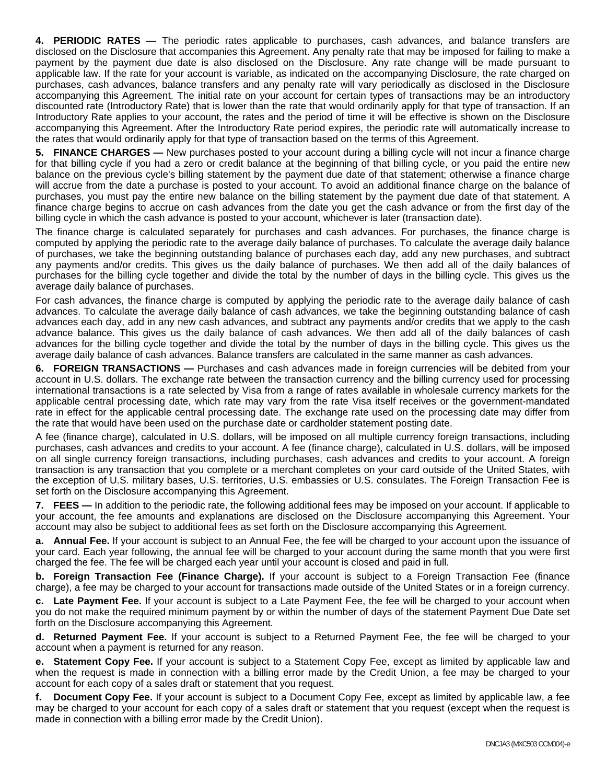**4. PERIODIC RATES —** The periodic rates applicable to purchases, cash advances, and balance transfers are disclosed on the Disclosure that accompanies this Agreement. Any penalty rate that may be imposed for failing to make a payment by the payment due date is also disclosed on the Disclosure. Any rate change will be made pursuant to applicable law. If the rate for your account is variable, as indicated on the accompanying Disclosure, the rate charged on purchases, cash advances, balance transfers and any penalty rate will vary periodically as disclosed in the Disclosure accompanying this Agreement. The initial rate on your account for certain types of transactions may be an introductory discounted rate (Introductory Rate) that is lower than the rate that would ordinarily apply for that type of transaction. If an Introductory Rate applies to your account, the rates and the period of time it will be effective is shown on the Disclosure accompanying this Agreement. After the Introductory Rate period expires, the periodic rate will automatically increase to the rates that would ordinarily apply for that type of transaction based on the terms of this Agreement.

**5. FINANCE CHARGES —** New purchases posted to your account during a billing cycle will not incur a finance charge for that billing cycle if you had a zero or credit balance at the beginning of that billing cycle, or you paid the entire new balance on the previous cycle's billing statement by the payment due date of that statement; otherwise a finance charge will accrue from the date a purchase is posted to your account. To avoid an additional finance charge on the balance of purchases, you must pay the entire new balance on the billing statement by the payment due date of that statement. A finance charge begins to accrue on cash advances from the date you get the cash advance or from the first day of the billing cycle in which the cash advance is posted to your account, whichever is later (transaction date).

The finance charge is calculated separately for purchases and cash advances. For purchases, the finance charge is computed by applying the periodic rate to the average daily balance of purchases. To calculate the average daily balance of purchases, we take the beginning outstanding balance of purchases each day, add any new purchases, and subtract any payments and/or credits. This gives us the daily balance of purchases. We then add all of the daily balances of purchases for the billing cycle together and divide the total by the number of days in the billing cycle. This gives us the average daily balance of purchases.

For cash advances, the finance charge is computed by applying the periodic rate to the average daily balance of cash advances. To calculate the average daily balance of cash advances, we take the beginning outstanding balance of cash advances each day, add in any new cash advances, and subtract any payments and/or credits that we apply to the cash advance balance. This gives us the daily balance of cash advances. We then add all of the daily balances of cash advances for the billing cycle together and divide the total by the number of days in the billing cycle. This gives us the average daily balance of cash advances. Balance transfers are calculated in the same manner as cash advances.

**6. FOREIGN TRANSACTIONS —** Purchases and cash advances made in foreign currencies will be debited from your account in U.S. dollars. The exchange rate between the transaction currency and the billing currency used for processing international transactions is a rate selected by Visa from a range of rates available in wholesale currency markets for the applicable central processing date, which rate may vary from the rate Visa itself receives or the government-mandated rate in effect for the applicable central processing date. The exchange rate used on the processing date may differ from the rate that would have been used on the purchase date or cardholder statement posting date.

A fee (finance charge), calculated in U.S. dollars, will be imposed on all multiple currency foreign transactions, including purchases, cash advances and credits to your account. A fee (finance charge), calculated in U.S. dollars, will be imposed on all single currency foreign transactions, including purchases, cash advances and credits to your account. A foreign transaction is any transaction that you complete or a merchant completes on your card outside of the United States, with the exception of U.S. military bases, U.S. territories, U.S. embassies or U.S. consulates. The Foreign Transaction Fee is set forth on the Disclosure accompanying this Agreement.

**7. FEES —** In addition to the periodic rate, the following additional fees may be imposed on your account. If applicable to your account, the fee amounts and explanations are disclosed on the Disclosure accompanying this Agreement. Your account may also be subject to additional fees as set forth on the Disclosure accompanying this Agreement.

**a. Annual Fee.** If your account is subject to an Annual Fee, the fee will be charged to your account upon the issuance of your card. Each year following, the annual fee will be charged to your account during the same month that you were first charged the fee. The fee will be charged each year until your account is closed and paid in full.

**b. Foreign Transaction Fee (Finance Charge).** If your account is subject to a Foreign Transaction Fee (finance charge), a fee may be charged to your account for transactions made outside of the United States or in a foreign currency.

**c. Late Payment Fee.** If your account is subject to a Late Payment Fee, the fee will be charged to your account when you do not make the required minimum payment by or within the number of days of the statement Payment Due Date set forth on the Disclosure accompanying this Agreement.

**d. Returned Payment Fee.** If your account is subject to a Returned Payment Fee, the fee will be charged to your account when a payment is returned for any reason.

**e. Statement Copy Fee.** If your account is subject to a Statement Copy Fee, except as limited by applicable law and when the request is made in connection with a billing error made by the Credit Union, a fee may be charged to your account for each copy of a sales draft or statement that you request.

**f. Document Copy Fee.** If your account is subject to a Document Copy Fee, except as limited by applicable law, a fee may be charged to your account for each copy of a sales draft or statement that you request (except when the request is made in connection with a billing error made by the Credit Union).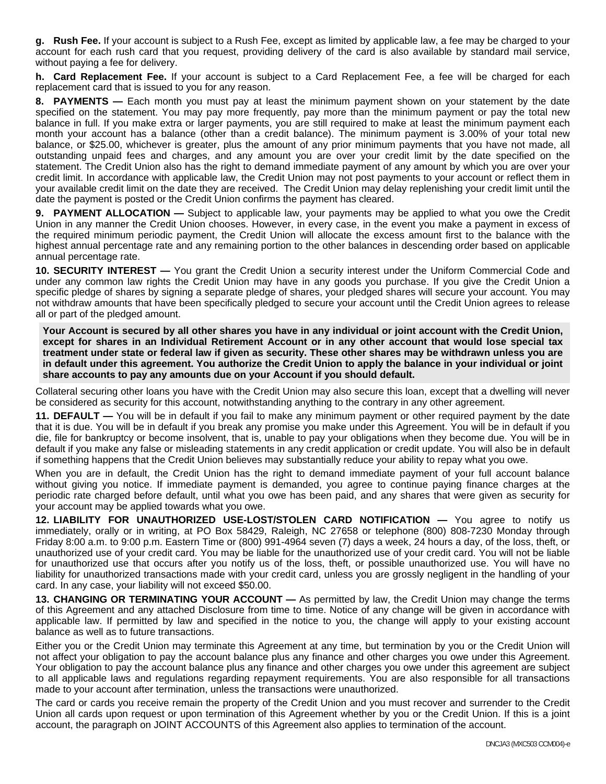**g. Rush Fee.** If your account is subject to a Rush Fee, except as limited by applicable law, a fee may be charged to your account for each rush card that you request, providing delivery of the card is also available by standard mail service, without paying a fee for delivery.

**h. Card Replacement Fee.** If your account is subject to a Card Replacement Fee, a fee will be charged for each replacement card that is issued to you for any reason.

**8. PAYMENTS —** Each month you must pay at least the minimum payment shown on your statement by the date specified on the statement. You may pay more frequently, pay more than the minimum payment or pay the total new balance in full. If you make extra or larger payments, you are still required to make at least the minimum payment each month your account has a balance (other than a credit balance). The minimum payment is 3.00% of your total new balance, or \$25.00, whichever is greater, plus the amount of any prior minimum payments that you have not made, all outstanding unpaid fees and charges, and any amount you are over your credit limit by the date specified on the statement. The Credit Union also has the right to demand immediate payment of any amount by which you are over your credit limit. In accordance with applicable law, the Credit Union may not post payments to your account or reflect them in your available credit limit on the date they are received. The Credit Union may delay replenishing your credit limit until the date the payment is posted or the Credit Union confirms the payment has cleared.

**9. PAYMENT ALLOCATION —** Subject to applicable law, your payments may be applied to what you owe the Credit Union in any manner the Credit Union chooses. However, in every case, in the event you make a payment in excess of the required minimum periodic payment, the Credit Union will allocate the excess amount first to the balance with the highest annual percentage rate and any remaining portion to the other balances in descending order based on applicable annual percentage rate.

**10. SECURITY INTEREST —** You grant the Credit Union a security interest under the Uniform Commercial Code and under any common law rights the Credit Union may have in any goods you purchase. If you give the Credit Union a specific pledge of shares by signing a separate pledge of shares, your pledged shares will secure your account. You may not withdraw amounts that have been specifically pledged to secure your account until the Credit Union agrees to release all or part of the pledged amount.

**Your Account is secured by all other shares you have in any individual or joint account with the Credit Union, except for shares in an Individual Retirement Account or in any other account that would lose special tax treatment under state or federal law if given as security. These other shares may be withdrawn unless you are in default under this agreement. You authorize the Credit Union to apply the balance in your individual or joint share accounts to pay any amounts due on your Account if you should default.** 

Collateral securing other loans you have with the Credit Union may also secure this loan, except that a dwelling will never be considered as security for this account, notwithstanding anything to the contrary in any other agreement.

**11. DEFAULT —** You will be in default if you fail to make any minimum payment or other required payment by the date that it is due. You will be in default if you break any promise you make under this Agreement. You will be in default if you die, file for bankruptcy or become insolvent, that is, unable to pay your obligations when they become due. You will be in default if you make any false or misleading statements in any credit application or credit update. You will also be in default if something happens that the Credit Union believes may substantially reduce your ability to repay what you owe.

When you are in default, the Credit Union has the right to demand immediate payment of your full account balance without giving you notice. If immediate payment is demanded, you agree to continue paying finance charges at the periodic rate charged before default, until what you owe has been paid, and any shares that were given as security for your account may be applied towards what you owe.

**12. LIABILITY FOR UNAUTHORIZED USE-LOST/STOLEN CARD NOTIFICATION —** You agree to notify us immediately, orally or in writing, at PO Box 58429, Raleigh, NC 27658 or telephone (800) 808-7230 Monday through Friday 8:00 a.m. to 9:00 p.m. Eastern Time or (800) 991-4964 seven (7) days a week, 24 hours a day, of the loss, theft, or unauthorized use of your credit card. You may be liable for the unauthorized use of your credit card. You will not be liable for unauthorized use that occurs after you notify us of the loss, theft, or possible unauthorized use. You will have no liability for unauthorized transactions made with your credit card, unless you are grossly negligent in the handling of your card. In any case, your liability will not exceed \$50.00.

**13. CHANGING OR TERMINATING YOUR ACCOUNT —** As permitted by law, the Credit Union may change the terms of this Agreement and any attached Disclosure from time to time. Notice of any change will be given in accordance with applicable law. If permitted by law and specified in the notice to you, the change will apply to your existing account balance as well as to future transactions.

Either you or the Credit Union may terminate this Agreement at any time, but termination by you or the Credit Union will not affect your obligation to pay the account balance plus any finance and other charges you owe under this Agreement. Your obligation to pay the account balance plus any finance and other charges you owe under this agreement are subject to all applicable laws and regulations regarding repayment requirements. You are also responsible for all transactions made to your account after termination, unless the transactions were unauthorized.

The card or cards you receive remain the property of the Credit Union and you must recover and surrender to the Credit Union all cards upon request or upon termination of this Agreement whether by you or the Credit Union. If this is a joint account, the paragraph on JOINT ACCOUNTS of this Agreement also applies to termination of the account.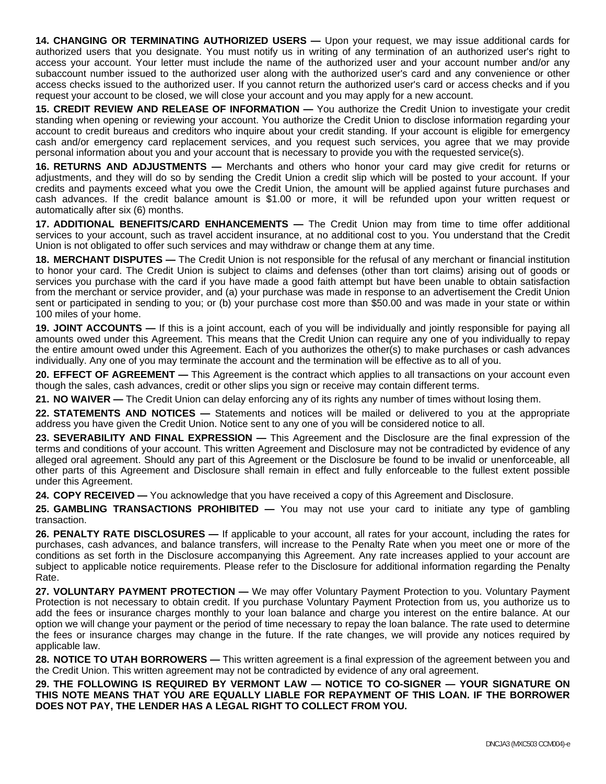**14. CHANGING OR TERMINATING AUTHORIZED USERS —** Upon your request, we may issue additional cards for authorized users that you designate. You must notify us in writing of any termination of an authorized user's right to access your account. Your letter must include the name of the authorized user and your account number and/or any subaccount number issued to the authorized user along with the authorized user's card and any convenience or other access checks issued to the authorized user. If you cannot return the authorized user's card or access checks and if you request your account to be closed, we will close your account and you may apply for a new account.

**15. CREDIT REVIEW AND RELEASE OF INFORMATION —** You authorize the Credit Union to investigate your credit standing when opening or reviewing your account. You authorize the Credit Union to disclose information regarding your account to credit bureaus and creditors who inquire about your credit standing. If your account is eligible for emergency cash and/or emergency card replacement services, and you request such services, you agree that we may provide personal information about you and your account that is necessary to provide you with the requested service(s).

**16. RETURNS AND ADJUSTMENTS —** Merchants and others who honor your card may give credit for returns or adjustments, and they will do so by sending the Credit Union a credit slip which will be posted to your account. If your credits and payments exceed what you owe the Credit Union, the amount will be applied against future purchases and cash advances. If the credit balance amount is \$1.00 or more, it will be refunded upon your written request or automatically after six (6) months.

**17. ADDITIONAL BENEFITS/CARD ENHANCEMENTS —** The Credit Union may from time to time offer additional services to your account, such as travel accident insurance, at no additional cost to you. You understand that the Credit Union is not obligated to offer such services and may withdraw or change them at any time.

**18. MERCHANT DISPUTES —** The Credit Union is not responsible for the refusal of any merchant or financial institution to honor your card. The Credit Union is subject to claims and defenses (other than tort claims) arising out of goods or services you purchase with the card if you have made a good faith attempt but have been unable to obtain satisfaction from the merchant or service provider, and (a) your purchase was made in response to an advertisement the Credit Union sent or participated in sending to you; or (b) your purchase cost more than \$50.00 and was made in your state or within 100 miles of your home.

**19. JOINT ACCOUNTS —** If this is a joint account, each of you will be individually and jointly responsible for paying all amounts owed under this Agreement. This means that the Credit Union can require any one of you individually to repay the entire amount owed under this Agreement. Each of you authorizes the other(s) to make purchases or cash advances individually. Any one of you may terminate the account and the termination will be effective as to all of you.

**20. EFFECT OF AGREEMENT —** This Agreement is the contract which applies to all transactions on your account even though the sales, cash advances, credit or other slips you sign or receive may contain different terms.

**21. NO WAIVER —** The Credit Union can delay enforcing any of its rights any number of times without losing them.

**22. STATEMENTS AND NOTICES —** Statements and notices will be mailed or delivered to you at the appropriate address you have given the Credit Union. Notice sent to any one of you will be considered notice to all.

**23. SEVERABILITY AND FINAL EXPRESSION —** This Agreement and the Disclosure are the final expression of the terms and conditions of your account. This written Agreement and Disclosure may not be contradicted by evidence of any alleged oral agreement. Should any part of this Agreement or the Disclosure be found to be invalid or unenforceable, all other parts of this Agreement and Disclosure shall remain in effect and fully enforceable to the fullest extent possible under this Agreement.

**24. COPY RECEIVED —** You acknowledge that you have received a copy of this Agreement and Disclosure.

**25. GAMBLING TRANSACTIONS PROHIBITED —** You may not use your card to initiate any type of gambling transaction.

**26. PENALTY RATE DISCLOSURES —** If applicable to your account, all rates for your account, including the rates for purchases, cash advances, and balance transfers, will increase to the Penalty Rate when you meet one or more of the conditions as set forth in the Disclosure accompanying this Agreement. Any rate increases applied to your account are subject to applicable notice requirements. Please refer to the Disclosure for additional information regarding the Penalty Rate.

**27. VOLUNTARY PAYMENT PROTECTION —** We may offer Voluntary Payment Protection to you. Voluntary Payment Protection is not necessary to obtain credit. If you purchase Voluntary Payment Protection from us, you authorize us to add the fees or insurance charges monthly to your loan balance and charge you interest on the entire balance. At our option we will change your payment or the period of time necessary to repay the loan balance. The rate used to determine the fees or insurance charges may change in the future. If the rate changes, we will provide any notices required by applicable law.

**28. NOTICE TO UTAH BORROWERS —** This written agreement is a final expression of the agreement between you and the Credit Union. This written agreement may not be contradicted by evidence of any oral agreement.

**29. THE FOLLOWING IS REQUIRED BY VERMONT LAW — NOTICE TO CO-SIGNER — YOUR SIGNATURE ON THIS NOTE MEANS THAT YOU ARE EQUALLY LIABLE FOR REPAYMENT OF THIS LOAN. IF THE BORROWER DOES NOT PAY, THE LENDER HAS A LEGAL RIGHT TO COLLECT FROM YOU.**